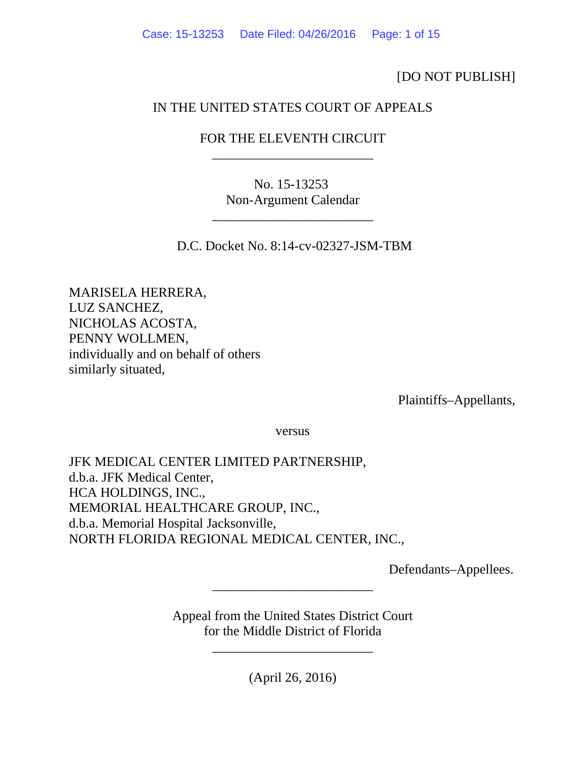[DO NOT PUBLISH]

# IN THE UNITED STATES COURT OF APPEALS

# FOR THE ELEVENTH CIRCUIT \_\_\_\_\_\_\_\_\_\_\_\_\_\_\_\_\_\_\_\_\_\_\_\_

No. 15-13253 Non-Argument Calendar

\_\_\_\_\_\_\_\_\_\_\_\_\_\_\_\_\_\_\_\_\_\_\_\_

D.C. Docket No. 8:14-cv-02327-JSM-TBM

MARISELA HERRERA, LUZ SANCHEZ, NICHOLAS ACOSTA, PENNY WOLLMEN, individually and on behalf of others similarly situated,

Plaintiffs–Appellants,

versus

JFK MEDICAL CENTER LIMITED PARTNERSHIP, d.b.a. JFK Medical Center, HCA HOLDINGS, INC., MEMORIAL HEALTHCARE GROUP, INC., d.b.a. Memorial Hospital Jacksonville, NORTH FLORIDA REGIONAL MEDICAL CENTER, INC.,

Defendants–Appellees.

Appeal from the United States District Court for the Middle District of Florida

\_\_\_\_\_\_\_\_\_\_\_\_\_\_\_\_\_\_\_\_\_\_\_\_

(April 26, 2016)

\_\_\_\_\_\_\_\_\_\_\_\_\_\_\_\_\_\_\_\_\_\_\_\_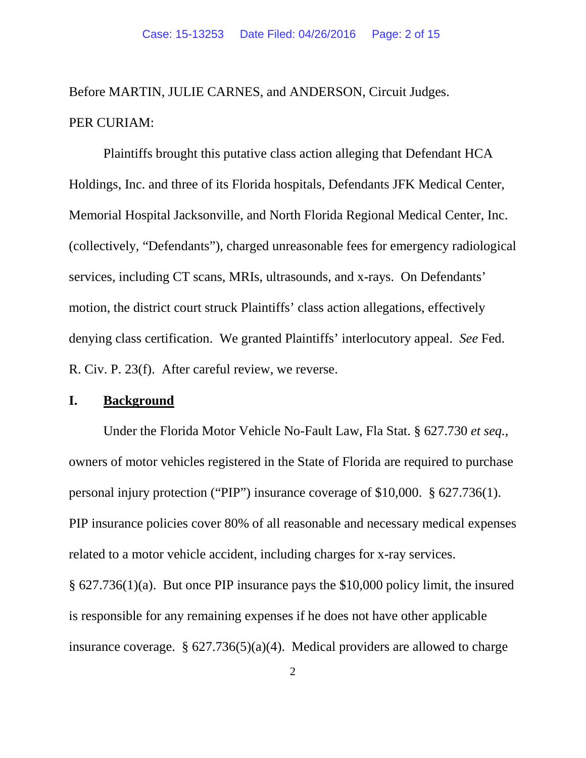Before MARTIN, JULIE CARNES, and ANDERSON, Circuit Judges. PER CURIAM:

Plaintiffs brought this putative class action alleging that Defendant HCA Holdings, Inc. and three of its Florida hospitals, Defendants JFK Medical Center, Memorial Hospital Jacksonville, and North Florida Regional Medical Center, Inc. (collectively, "Defendants"), charged unreasonable fees for emergency radiological services, including CT scans, MRIs, ultrasounds, and x-rays. On Defendants' motion, the district court struck Plaintiffs' class action allegations, effectively denying class certification. We granted Plaintiffs' interlocutory appeal. *See* Fed. R. Civ. P. 23(f). After careful review, we reverse.

## **I. Background**

Under the Florida Motor Vehicle No-Fault Law, Fla Stat. § 627.730 *et seq.*, owners of motor vehicles registered in the State of Florida are required to purchase personal injury protection ("PIP") insurance coverage of \$10,000. § 627.736(1). PIP insurance policies cover 80% of all reasonable and necessary medical expenses related to a motor vehicle accident, including charges for x-ray services. § 627.736(1)(a). But once PIP insurance pays the \$10,000 policy limit, the insured is responsible for any remaining expenses if he does not have other applicable

insurance coverage.  $\S 627.736(5)(a)(4)$ . Medical providers are allowed to charge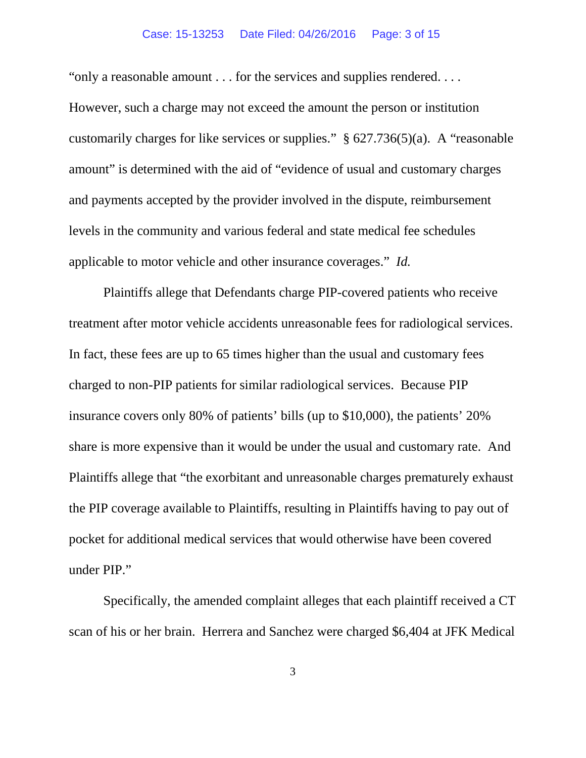### Case: 15-13253 Date Filed: 04/26/2016 Page: 3 of 15

"only a reasonable amount . . . for the services and supplies rendered. . . . However, such a charge may not exceed the amount the person or institution customarily charges for like services or supplies." § 627.736(5)(a). A "reasonable amount" is determined with the aid of "evidence of usual and customary charges and payments accepted by the provider involved in the dispute, reimbursement levels in the community and various federal and state medical fee schedules applicable to motor vehicle and other insurance coverages." *Id.*

Plaintiffs allege that Defendants charge PIP-covered patients who receive treatment after motor vehicle accidents unreasonable fees for radiological services. In fact, these fees are up to 65 times higher than the usual and customary fees charged to non-PIP patients for similar radiological services. Because PIP insurance covers only 80% of patients' bills (up to \$10,000), the patients' 20% share is more expensive than it would be under the usual and customary rate. And Plaintiffs allege that "the exorbitant and unreasonable charges prematurely exhaust the PIP coverage available to Plaintiffs, resulting in Plaintiffs having to pay out of pocket for additional medical services that would otherwise have been covered under PIP."

Specifically, the amended complaint alleges that each plaintiff received a CT scan of his or her brain. Herrera and Sanchez were charged \$6,404 at JFK Medical

3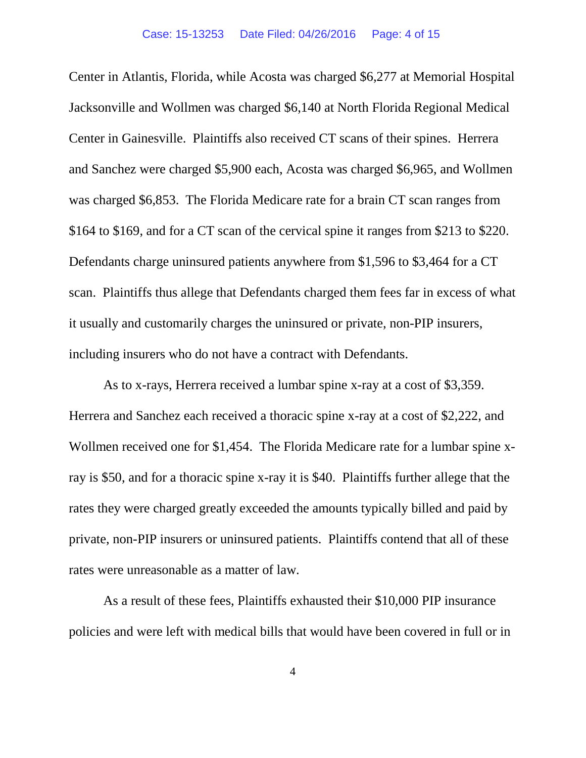Center in Atlantis, Florida, while Acosta was charged \$6,277 at Memorial Hospital Jacksonville and Wollmen was charged \$6,140 at North Florida Regional Medical Center in Gainesville. Plaintiffs also received CT scans of their spines. Herrera and Sanchez were charged \$5,900 each, Acosta was charged \$6,965, and Wollmen was charged \$6,853. The Florida Medicare rate for a brain CT scan ranges from \$164 to \$169, and for a CT scan of the cervical spine it ranges from \$213 to \$220. Defendants charge uninsured patients anywhere from \$1,596 to \$3,464 for a CT scan. Plaintiffs thus allege that Defendants charged them fees far in excess of what it usually and customarily charges the uninsured or private, non-PIP insurers, including insurers who do not have a contract with Defendants.

As to x-rays, Herrera received a lumbar spine x-ray at a cost of \$3,359. Herrera and Sanchez each received a thoracic spine x-ray at a cost of \$2,222, and Wollmen received one for \$1,454. The Florida Medicare rate for a lumbar spine xray is \$50, and for a thoracic spine x-ray it is \$40. Plaintiffs further allege that the rates they were charged greatly exceeded the amounts typically billed and paid by private, non-PIP insurers or uninsured patients. Plaintiffs contend that all of these rates were unreasonable as a matter of law.

As a result of these fees, Plaintiffs exhausted their \$10,000 PIP insurance policies and were left with medical bills that would have been covered in full or in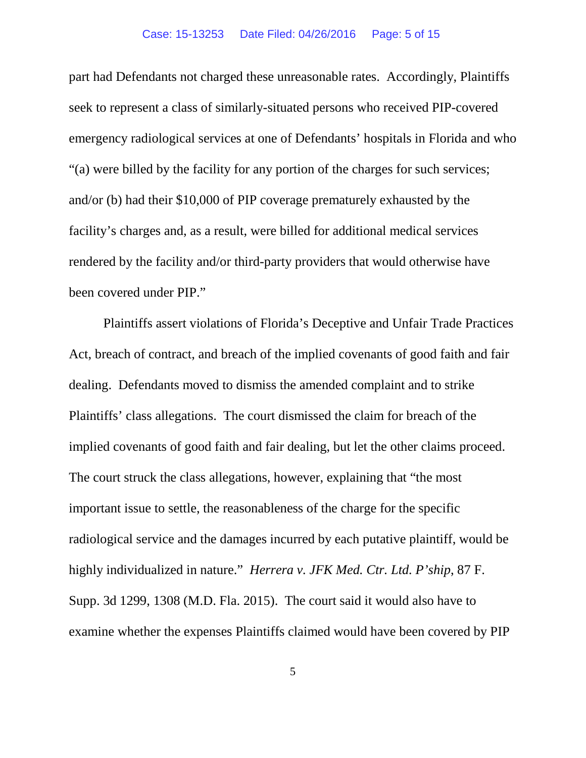### Case: 15-13253 Date Filed: 04/26/2016 Page: 5 of 15

part had Defendants not charged these unreasonable rates. Accordingly, Plaintiffs seek to represent a class of similarly-situated persons who received PIP-covered emergency radiological services at one of Defendants' hospitals in Florida and who "(a) were billed by the facility for any portion of the charges for such services; and/or (b) had their \$10,000 of PIP coverage prematurely exhausted by the facility's charges and, as a result, were billed for additional medical services rendered by the facility and/or third-party providers that would otherwise have been covered under PIP."

Plaintiffs assert violations of Florida's Deceptive and Unfair Trade Practices Act, breach of contract, and breach of the implied covenants of good faith and fair dealing. Defendants moved to dismiss the amended complaint and to strike Plaintiffs' class allegations. The court dismissed the claim for breach of the implied covenants of good faith and fair dealing, but let the other claims proceed. The court struck the class allegations, however, explaining that "the most important issue to settle, the reasonableness of the charge for the specific radiological service and the damages incurred by each putative plaintiff, would be highly individualized in nature." *Herrera v. JFK Med. Ctr. Ltd. P'ship*, 87 F. Supp. 3d 1299, 1308 (M.D. Fla. 2015). The court said it would also have to examine whether the expenses Plaintiffs claimed would have been covered by PIP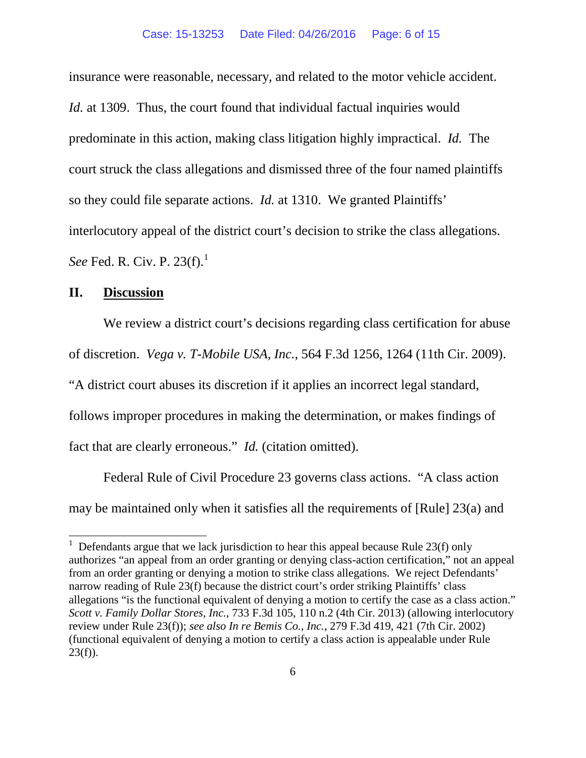insurance were reasonable, necessary, and related to the motor vehicle accident. *Id.* at 1309. Thus, the court found that individual factual inquiries would predominate in this action, making class litigation highly impractical. *Id.* The court struck the class allegations and dismissed three of the four named plaintiffs so they could file separate actions. *Id.* at 1310. We granted Plaintiffs' interlocutory appeal of the district court's decision to strike the class allegations. *See* Fed. R. Civ. P. 23(f).<sup>[1](#page-5-0)</sup>

## **II. Discussion**

We review a district court's decisions regarding class certification for abuse of discretion. *Vega v. T-Mobile USA, Inc.*, 564 F.3d 1256, 1264 (11th Cir. 2009). "A district court abuses its discretion if it applies an incorrect legal standard, follows improper procedures in making the determination, or makes findings of fact that are clearly erroneous." *Id.* (citation omitted).

Federal Rule of Civil Procedure 23 governs class actions. "A class action may be maintained only when it satisfies all the requirements of [Rule] 23(a) and

<span id="page-5-0"></span><sup>&</sup>lt;sup>1</sup> Defendants argue that we lack jurisdiction to hear this appeal because Rule 23(f) only authorizes "an appeal from an order granting or denying class-action certification," not an appeal from an order granting or denying a motion to strike class allegations. We reject Defendants' narrow reading of Rule 23(f) because the district court's order striking Plaintiffs' class allegations "is the functional equivalent of denying a motion to certify the case as a class action." *Scott v. Family Dollar Stores, Inc.*, 733 F.3d 105, 110 n.2 (4th Cir. 2013) (allowing interlocutory review under Rule 23(f)); *see also In re Bemis Co., Inc.*, 279 F.3d 419, 421 (7th Cir. 2002) (functional equivalent of denying a motion to certify a class action is appealable under Rule  $23(f)$ ).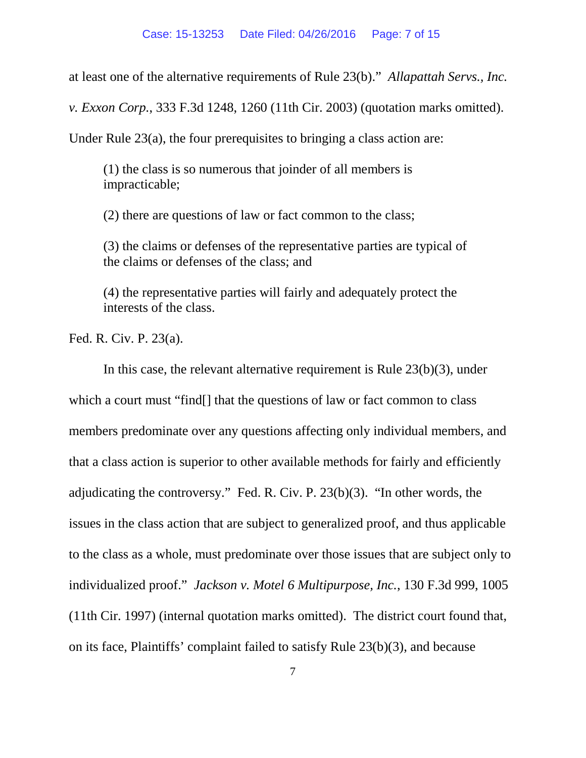at least one of the alternative requirements of Rule 23(b)." *Allapattah Servs., Inc.* 

*v. Exxon Corp.*, 333 F.3d 1248, 1260 (11th Cir. 2003) (quotation marks omitted).

Under Rule 23(a), the four prerequisites to bringing a class action are:

(1) the class is so numerous that joinder of all members is impracticable;

(2) there are questions of law or fact common to the class;

(3) the claims or defenses of the representative parties are typical of the claims or defenses of the class; and

(4) the representative parties will fairly and adequately protect the interests of the class.

Fed. R. Civ. P. 23(a).

In this case, the relevant alternative requirement is Rule 23(b)(3), under which a court must "find<sup>[]</sup> that the questions of law or fact common to class members predominate over any questions affecting only individual members, and that a class action is superior to other available methods for fairly and efficiently adjudicating the controversy." Fed. R. Civ. P. 23(b)(3). "In other words, the issues in the class action that are subject to generalized proof, and thus applicable to the class as a whole, must predominate over those issues that are subject only to individualized proof." *Jackson v. Motel 6 Multipurpose, Inc.*, 130 F.3d 999, 1005 (11th Cir. 1997) (internal quotation marks omitted). The district court found that, on its face, Plaintiffs' complaint failed to satisfy Rule 23(b)(3), and because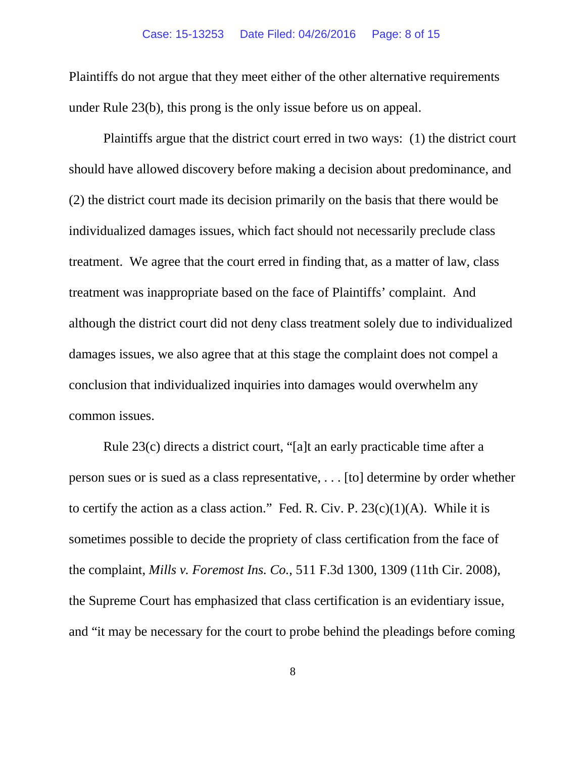#### Case: 15-13253 Date Filed: 04/26/2016 Page: 8 of 15

Plaintiffs do not argue that they meet either of the other alternative requirements under Rule 23(b), this prong is the only issue before us on appeal.

Plaintiffs argue that the district court erred in two ways: (1) the district court should have allowed discovery before making a decision about predominance, and (2) the district court made its decision primarily on the basis that there would be individualized damages issues, which fact should not necessarily preclude class treatment. We agree that the court erred in finding that, as a matter of law, class treatment was inappropriate based on the face of Plaintiffs' complaint. And although the district court did not deny class treatment solely due to individualized damages issues, we also agree that at this stage the complaint does not compel a conclusion that individualized inquiries into damages would overwhelm any common issues.

Rule 23(c) directs a district court, "[a]t an early practicable time after a person sues or is sued as a class representative, . . . [to] determine by order whether to certify the action as a class action." Fed. R. Civ. P.  $23(c)(1)(A)$ . While it is sometimes possible to decide the propriety of class certification from the face of the complaint, *Mills v. Foremost Ins. Co.*, 511 F.3d 1300, 1309 (11th Cir. 2008), the Supreme Court has emphasized that class certification is an evidentiary issue, and "it may be necessary for the court to probe behind the pleadings before coming

8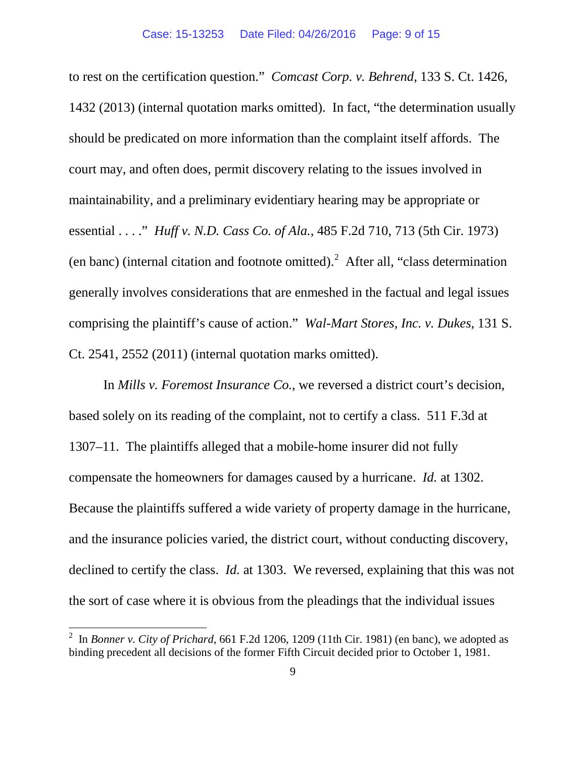to rest on the certification question." *Comcast Corp. v. Behrend*, 133 S. Ct. 1426, 1432 (2013) (internal quotation marks omitted). In fact, "the determination usually should be predicated on more information than the complaint itself affords. The court may, and often does, permit discovery relating to the issues involved in maintainability, and a preliminary evidentiary hearing may be appropriate or essential . . . ." *Huff v. N.D. Cass Co. of Ala.*, 485 F.2d 710, 713 (5th Cir. 1973) (en banc) (internal citation and footnote omitted). [2](#page-8-0) After all, "class determination generally involves considerations that are enmeshed in the factual and legal issues comprising the plaintiff's cause of action." *Wal-Mart Stores, Inc. v. Dukes*, 131 S. Ct. 2541, 2552 (2011) (internal quotation marks omitted).

In *Mills v. Foremost Insurance Co.*, we reversed a district court's decision, based solely on its reading of the complaint, not to certify a class. 511 F.3d at 1307–11. The plaintiffs alleged that a mobile-home insurer did not fully compensate the homeowners for damages caused by a hurricane. *Id.* at 1302. Because the plaintiffs suffered a wide variety of property damage in the hurricane, and the insurance policies varied, the district court, without conducting discovery, declined to certify the class. *Id.* at 1303. We reversed, explaining that this was not the sort of case where it is obvious from the pleadings that the individual issues

<span id="page-8-0"></span><sup>&</sup>lt;sup>2</sup> In *Bonner v. City of Prichard*, 661 F.2d 1206, 1209 (11th Cir. 1981) (en banc), we adopted as binding precedent all decisions of the former Fifth Circuit decided prior to October 1, 1981.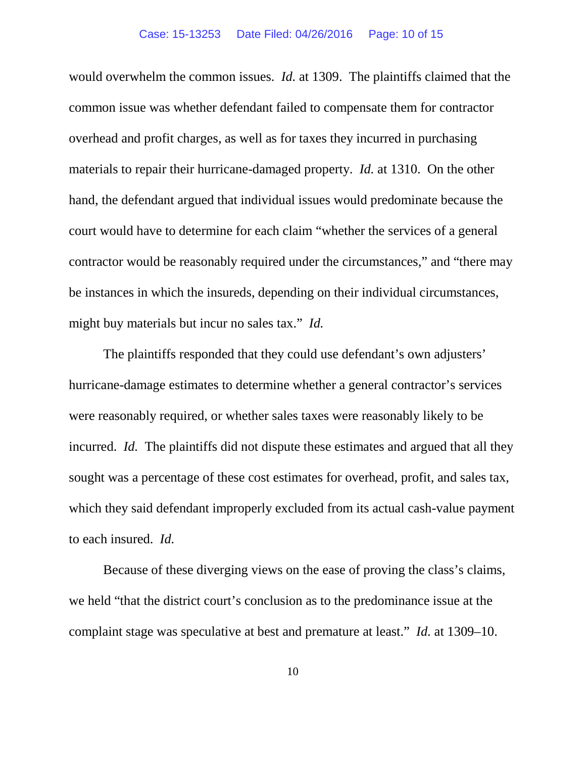would overwhelm the common issues. *Id.* at 1309. The plaintiffs claimed that the common issue was whether defendant failed to compensate them for contractor overhead and profit charges, as well as for taxes they incurred in purchasing materials to repair their hurricane-damaged property. *Id.* at 1310. On the other hand, the defendant argued that individual issues would predominate because the court would have to determine for each claim "whether the services of a general contractor would be reasonably required under the circumstances," and "there may be instances in which the insureds, depending on their individual circumstances, might buy materials but incur no sales tax." *Id.*

The plaintiffs responded that they could use defendant's own adjusters' hurricane-damage estimates to determine whether a general contractor's services were reasonably required, or whether sales taxes were reasonably likely to be incurred. *Id.* The plaintiffs did not dispute these estimates and argued that all they sought was a percentage of these cost estimates for overhead, profit, and sales tax, which they said defendant improperly excluded from its actual cash-value payment to each insured. *Id.*

Because of these diverging views on the ease of proving the class's claims, we held "that the district court's conclusion as to the predominance issue at the complaint stage was speculative at best and premature at least." *Id.* at 1309–10.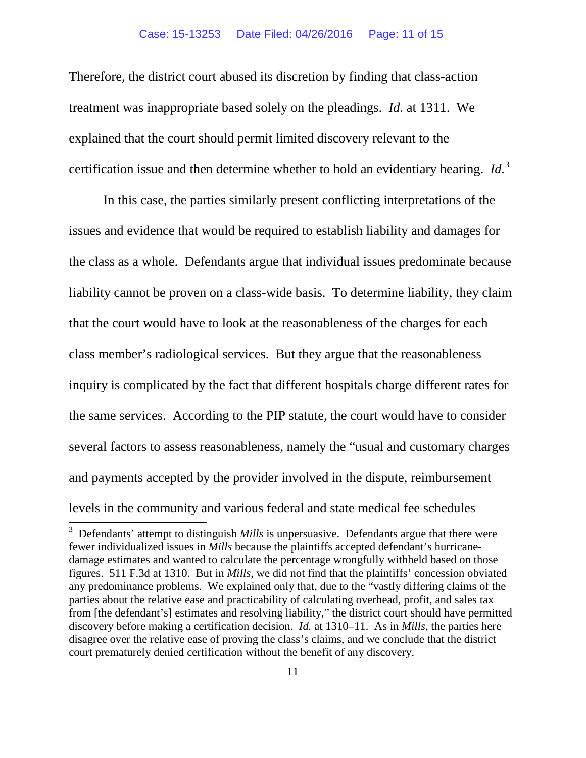Therefore, the district court abused its discretion by finding that class-action treatment was inappropriate based solely on the pleadings. *Id.* at 1311. We explained that the court should permit limited discovery relevant to the certification issue and then determine whether to hold an evidentiary hearing. *Id.*[3](#page-10-0)

In this case, the parties similarly present conflicting interpretations of the issues and evidence that would be required to establish liability and damages for the class as a whole. Defendants argue that individual issues predominate because liability cannot be proven on a class-wide basis. To determine liability, they claim that the court would have to look at the reasonableness of the charges for each class member's radiological services. But they argue that the reasonableness inquiry is complicated by the fact that different hospitals charge different rates for the same services. According to the PIP statute, the court would have to consider several factors to assess reasonableness, namely the "usual and customary charges and payments accepted by the provider involved in the dispute, reimbursement levels in the community and various federal and state medical fee schedules 3

<span id="page-10-0"></span><sup>&</sup>lt;sup>3</sup> Defendants' attempt to distinguish *Mills* is unpersuasive. Defendants argue that there were fewer individualized issues in *Mills* because the plaintiffs accepted defendant's hurricanedamage estimates and wanted to calculate the percentage wrongfully withheld based on those figures. 511 F.3d at 1310. But in *Mills*, we did not find that the plaintiffs' concession obviated any predominance problems. We explained only that, due to the "vastly differing claims of the parties about the relative ease and practicability of calculating overhead, profit, and sales tax from [the defendant's] estimates and resolving liability," the district court should have permitted discovery before making a certification decision. *Id.* at 1310–11. As in *Mills*, the parties here disagree over the relative ease of proving the class's claims, and we conclude that the district court prematurely denied certification without the benefit of any discovery.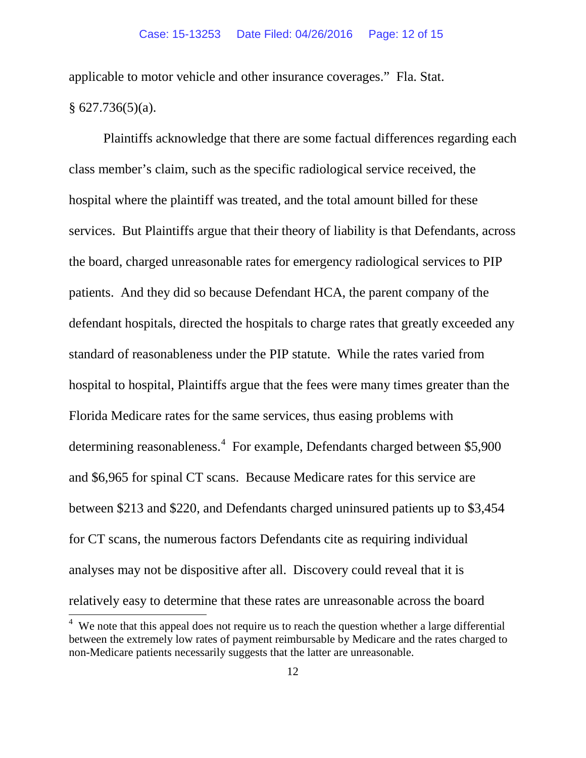applicable to motor vehicle and other insurance coverages." Fla. Stat.  $§ 627.736(5)(a).$ 

Plaintiffs acknowledge that there are some factual differences regarding each class member's claim, such as the specific radiological service received, the hospital where the plaintiff was treated, and the total amount billed for these services. But Plaintiffs argue that their theory of liability is that Defendants, across the board, charged unreasonable rates for emergency radiological services to PIP patients. And they did so because Defendant HCA, the parent company of the defendant hospitals, directed the hospitals to charge rates that greatly exceeded any standard of reasonableness under the PIP statute. While the rates varied from hospital to hospital, Plaintiffs argue that the fees were many times greater than the Florida Medicare rates for the same services, thus easing problems with determining reasonableness. [4](#page-11-0) For example, Defendants charged between \$5,900 and \$6,965 for spinal CT scans. Because Medicare rates for this service are between \$213 and \$220, and Defendants charged uninsured patients up to \$3,454 for CT scans, the numerous factors Defendants cite as requiring individual analyses may not be dispositive after all. Discovery could reveal that it is relatively easy to determine that these rates are unreasonable across the board 4

<span id="page-11-0"></span> $4\,$  We note that this appeal does not require us to reach the question whether a large differential between the extremely low rates of payment reimbursable by Medicare and the rates charged to non-Medicare patients necessarily suggests that the latter are unreasonable.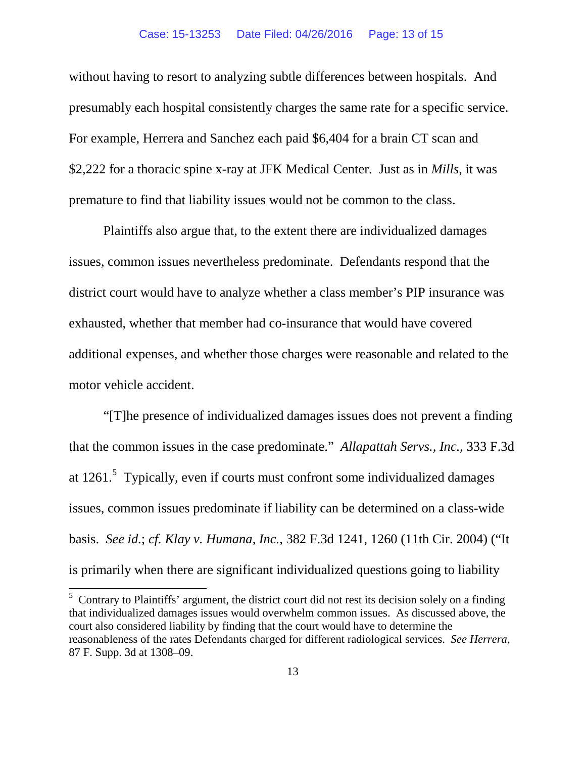### Case: 15-13253 Date Filed: 04/26/2016 Page: 13 of 15

without having to resort to analyzing subtle differences between hospitals. And presumably each hospital consistently charges the same rate for a specific service. For example, Herrera and Sanchez each paid \$6,404 for a brain CT scan and \$2,222 for a thoracic spine x-ray at JFK Medical Center. Just as in *Mills*, it was premature to find that liability issues would not be common to the class.

Plaintiffs also argue that, to the extent there are individualized damages issues, common issues nevertheless predominate. Defendants respond that the district court would have to analyze whether a class member's PIP insurance was exhausted, whether that member had co-insurance that would have covered additional expenses, and whether those charges were reasonable and related to the motor vehicle accident.

"[T]he presence of individualized damages issues does not prevent a finding that the common issues in the case predominate." *Allapattah Servs., Inc.*, 333 F.3d at 1261.<sup>[5](#page-12-0)</sup> Typically, even if courts must confront some individualized damages issues, common issues predominate if liability can be determined on a class-wide basis. *See id.*; *cf. Klay v. Humana, Inc.*, 382 F.3d 1241, 1260 (11th Cir. 2004) ("It is primarily when there are significant individualized questions going to liability

<span id="page-12-0"></span><sup>&</sup>lt;sup>5</sup> Contrary to Plaintiffs' argument, the district court did not rest its decision solely on a finding that individualized damages issues would overwhelm common issues. As discussed above, the court also considered liability by finding that the court would have to determine the reasonableness of the rates Defendants charged for different radiological services. *See Herrera*, 87 F. Supp. 3d at 1308–09.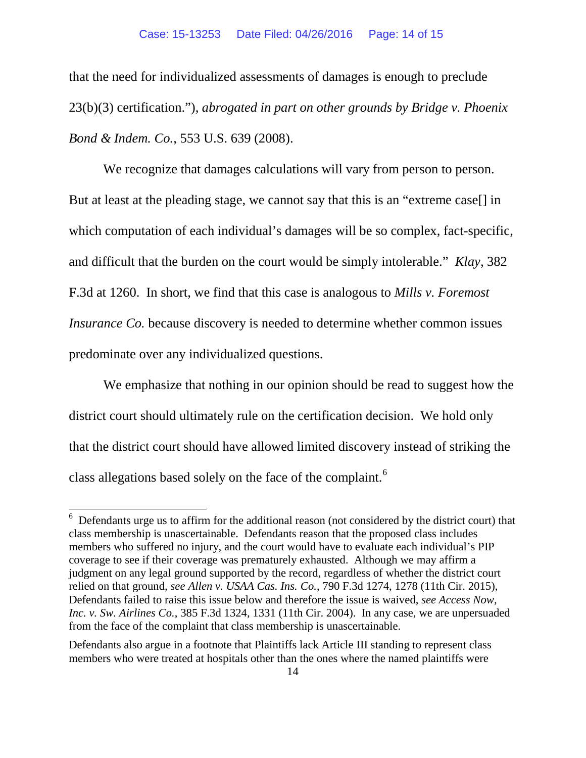that the need for individualized assessments of damages is enough to preclude 23(b)(3) certification."), *abrogated in part on other grounds by Bridge v. Phoenix Bond & Indem. Co.*, 553 U.S. 639 (2008).

We recognize that damages calculations will vary from person to person. But at least at the pleading stage, we cannot say that this is an "extreme case[] in which computation of each individual's damages will be so complex, fact-specific, and difficult that the burden on the court would be simply intolerable." *Klay*, 382 F.3d at 1260. In short, we find that this case is analogous to *Mills v. Foremost Insurance Co.* because discovery is needed to determine whether common issues predominate over any individualized questions.

We emphasize that nothing in our opinion should be read to suggest how the district court should ultimately rule on the certification decision. We hold only that the district court should have allowed limited discovery instead of striking the class allegations based solely on the face of the complaint.<sup>[6](#page-13-0)</sup>

<span id="page-13-0"></span><sup>&</sup>lt;sup>6</sup> Defendants urge us to affirm for the additional reason (not considered by the district court) that class membership is unascertainable. Defendants reason that the proposed class includes members who suffered no injury, and the court would have to evaluate each individual's PIP coverage to see if their coverage was prematurely exhausted. Although we may affirm a judgment on any legal ground supported by the record, regardless of whether the district court relied on that ground, *see Allen v. USAA Cas. Ins. Co.*, 790 F.3d 1274, 1278 (11th Cir. 2015), Defendants failed to raise this issue below and therefore the issue is waived, *see Access Now, Inc. v. Sw. Airlines Co.*, 385 F.3d 1324, 1331 (11th Cir. 2004). In any case, we are unpersuaded from the face of the complaint that class membership is unascertainable.

Defendants also argue in a footnote that Plaintiffs lack Article III standing to represent class members who were treated at hospitals other than the ones where the named plaintiffs were